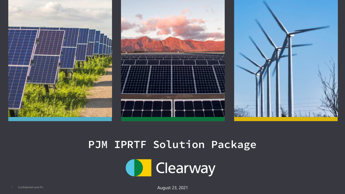

## **PJM IPRTF Solution Package**

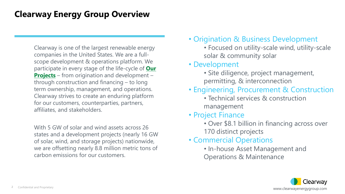### **Clearway Energy Group Overview**

Clearway is one of the largest renewable energy companies in the United States. We are a fullscope development & operations platform. We [participate in every stage of the life-cycle of](https://www.clearwayenergygroup.com/our-projects/) **Our Projects** – from origination and development – through construction and financing – to long term ownership, management, and operations. Clearway strives to create an enduring platform for our customers, counterparties, partners, affiliates, and stakeholders.

With 5 GW of solar and wind assets across 26 states and a development projects (nearly 16 GW of solar, wind, and storage projects) nationwide, we are offsetting nearly 8.8 million metric tons of carbon emissions for our customers.

- Origination & Business Development
	- Focused on utility-scale wind, utility-scale solar & community solar
- Development
	- Site diligence, project management, permitting, & interconnection
- Engineering, Procurement & Construction
	- Technical services & construction management
- Project Finance
	- Over \$8.1 billion in financing across over 170 distinct projects
- Commercial Operations
	- In-house Asset Management and Operations & Maintenance

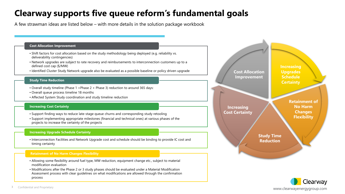## **Clearway supports five queue reform's fundamental goals**

A few strawman ideas are listed below – with more details in the solution package workbook

#### **Cost Allocation Improvement**

- Shift factors for cost allocation based on the study methodology being deployed (e.g. reliability vs. deliverability contingencies)
- Network upgrades are subject to rate recovery and reimbursements to interconnection customers up to a defined cost cap (\$/MW)
- Identified Cluster Study Network upgrade also be evaluated as a possible baseline or policy driven upgrade

#### **Study Time Reduction**

- Overall study timeline (Phase 1 +Phase 2 + Phase 3) reduction to around 365 days:
- Overall queue process timeline 18 months
- Affected System Study coordination and study timeline reduction

#### **Increasing Cost Certainty**

- Support finding ways to reduce late-stage queue churns and corresponding study retooling
- Support implementing appropriate milestones (financial and technical ones) at various phases of the projects to increase the certainty of the projects

#### **Increasing Upgrade Schedule Certainty**

• Interconnection Facilities and Network Upgrade cost and schedule should be binding to provide IC cost and timing certainty

#### **Retainment of No Harm Changes Flexibility**

- Allowing some flexibility around fuel type, MW reduction, equipment change etc., subject to material modification evaluation
- Modifications after the Phase 2 or 3 study phases should be evaluated under a Material Modification Assessment process with clear guidelines on what modifications are allowed through the confirmation process